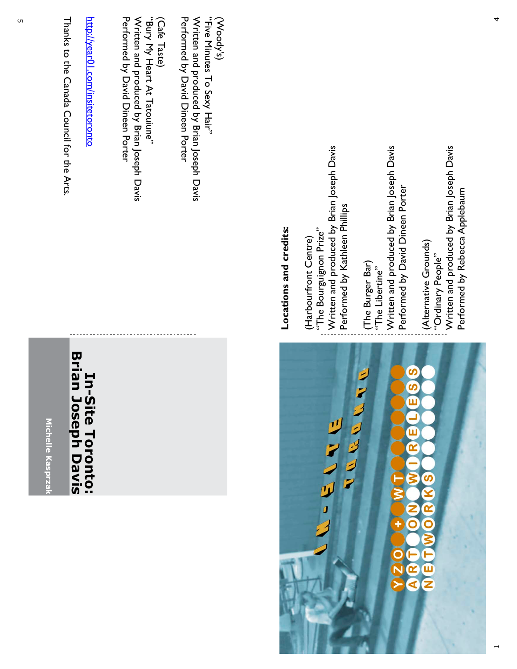## Brian Joseph Davis **Brian Joseph DavisIn-Site Toronto: In-Site Toronto:**

Thanks to the Canada Council for the Arts. Thanks to the Canada Council for the Arts. http://year01.com/insitetoronto **Performed py David Dineen Porter** Performed by David Dineen Porter

http://year01.com/insitetoronto

(Cafe Taste)<br>"Bury My Heart At Tatouiune" Written and produced by Brian Joseph Davis "Bury My Heart At Tatouiune" (Cafe Taste) en and produced by Brian Joseph Davis

Performed by David Dineen Porter Written and produced by Brian Joseph Davis Written and produced by Brian Joseph Davis "Five Minutes To Sexy Hair" "Five Minutes To Sexy Hair" (Woody's) Performed by David Dineen Porter



## **Locations and credits :**

Written and produced by Brian Joseph Davis Written and produced by Brian Joseph Davis Performed by Kathleen Phillips Performed by Kathleen Phillips "The Bourguignon Prize" "The Bourguignon Prize" (Harbourfront Centre) (Harbourfront Centre)

Written and produced by Brian Joseph Davis Written and produced by Brian Joseph Davis Performed by David Dineen Porter (Alternative Grounds) (The Burger Bar) (The Burger Bar) "The Libertine" "The Libertine"

"Ordinary People"

Written and produced by Brian Joseph Davis Written and produced by Brian Joseph Davis Performed by Rebecca Applebaum Performed by Rebecca Applebaum

 $\overline{\phantom{0}}$